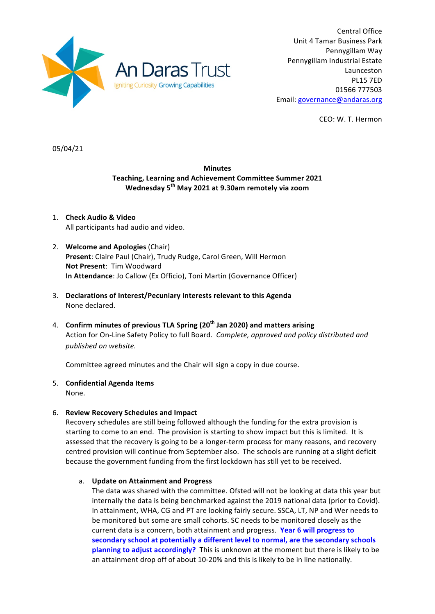

Central Office Unit 4 Tamar Business Park Pennygillam Way Pennygillam Industrial Estate Launceston PL15 7ED 01566 777503 Email: governance@andaras.org

CEO: W. T. Hermon

05/04/21

# **Minutes Teaching, Learning and Achievement Committee Summer 2021 Wednesday 5th May 2021 at 9.30am remotely via zoom**

- 1. **Check Audio & Video** All participants had audio and video.
- 2. **Welcome and Apologies** (Chair) Present: Claire Paul (Chair), Trudy Rudge, Carol Green, Will Hermon **Not Present: Tim Woodward In Attendance:** Jo Callow (Ex Officio), Toni Martin (Governance Officer)
- 3. Declarations of Interest/Pecuniary Interests relevant to this Agenda None declared.
- 4. **Confirm minutes of previous TLA Spring (20<sup>th</sup> Jan 2020) and matters arising** Action for On-Line Safety Policy to full Board. Complete, approved and policy distributed and published on website.

Committee agreed minutes and the Chair will sign a copy in due course.

- 5. **Confidential Agenda Items**
	- None.

# 6. **Review Recovery Schedules and Impact**

Recovery schedules are still being followed although the funding for the extra provision is starting to come to an end. The provision is starting to show impact but this is limited. It is assessed that the recovery is going to be a longer-term process for many reasons, and recovery centred provision will continue from September also. The schools are running at a slight deficit because the government funding from the first lockdown has still yet to be received.

### a. **Update on Attainment and Progress**

The data was shared with the committee. Ofsted will not be looking at data this year but internally the data is being benchmarked against the 2019 national data (prior to Covid). In attainment, WHA, CG and PT are looking fairly secure. SSCA, LT, NP and Wer needs to be monitored but some are small cohorts. SC needs to be monitored closely as the current data is a concern, both attainment and progress. Year 6 will progress to secondary school at potentially a different level to normal, are the secondary schools **planning to adjust accordingly?** This is unknown at the moment but there is likely to be an attainment drop off of about 10-20% and this is likely to be in line nationally.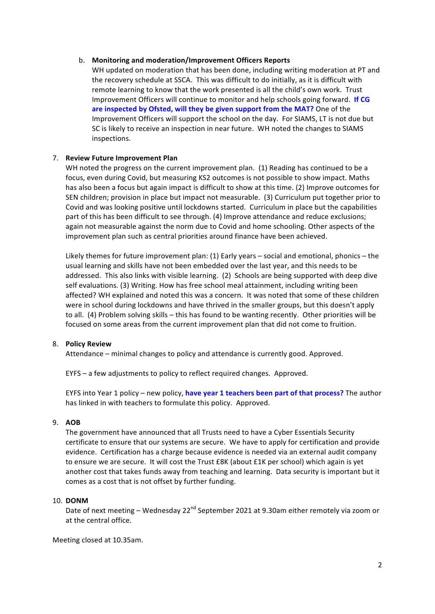### b. Monitoring and moderation/Improvement Officers Reports

WH updated on moderation that has been done, including writing moderation at PT and the recovery schedule at SSCA. This was difficult to do initially, as it is difficult with remote learning to know that the work presented is all the child's own work. Trust Improvement Officers will continue to monitor and help schools going forward. If CG are inspected by Ofsted, will they be given support from the MAT? One of the Improvement Officers will support the school on the day. For SIAMS, LT is not due but SC is likely to receive an inspection in near future. WH noted the changes to SIAMS inspections. 

### 7. **Review Future Improvement Plan**

WH noted the progress on the current improvement plan. (1) Reading has continued to be a focus, even during Covid, but measuring KS2 outcomes is not possible to show impact. Maths has also been a focus but again impact is difficult to show at this time. (2) Improve outcomes for SEN children; provision in place but impact not measurable. (3) Curriculum put together prior to Covid and was looking positive until lockdowns started. Curriculum in place but the capabilities part of this has been difficult to see through. (4) Improve attendance and reduce exclusions; again not measurable against the norm due to Covid and home schooling. Other aspects of the improvement plan such as central priorities around finance have been achieved.

Likely themes for future improvement plan:  $(1)$  Early years – social and emotional, phonics – the usual learning and skills have not been embedded over the last year, and this needs to be addressed. This also links with visible learning. (2) Schools are being supported with deep dive self evaluations. (3) Writing. How has free school meal attainment, including writing been affected? WH explained and noted this was a concern. It was noted that some of these children were in school during lockdowns and have thrived in the smaller groups, but this doesn't apply to all. (4) Problem solving skills – this has found to be wanting recently. Other priorities will be focused on some areas from the current improvement plan that did not come to fruition.

### 8. **Policy Review**

Attendance – minimal changes to policy and attendance is currently good. Approved.

EYFS – a few adjustments to policy to reflect required changes. Approved.

EYFS into Year 1 policy – new policy, have year 1 teachers been part of that process? The author has linked in with teachers to formulate this policy. Approved.

### 9. **AOB**

The government have announced that all Trusts need to have a Cyber Essentials Security certificate to ensure that our systems are secure. We have to apply for certification and provide evidence. Certification has a charge because evidence is needed via an external audit company to ensure we are secure. It will cost the Trust £8K (about £1K per school) which again is yet another cost that takes funds away from teaching and learning. Data security is important but it comes as a cost that is not offset by further funding.

### 10. **DONM**

Date of next meeting – Wednesday 22<sup>nd</sup> September 2021 at 9.30am either remotely via zoom or at the central office.

Meeting closed at 10.35am.